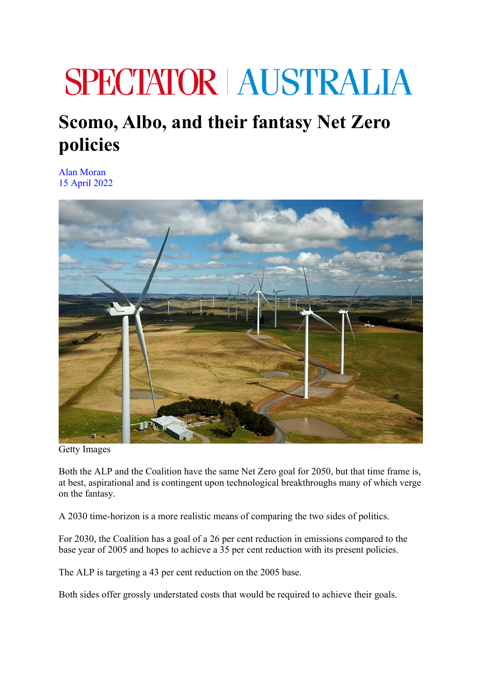## **SPECTATOR AUSTRALIA**

## **Scomo, Albo, and their fantasy Net Zero policies**

Alan Moran 15 April 2022



Getty Images

Both the ALP and the Coalition have the same Net Zero goal for 2050, but that time frame is, at best, aspirational and is contingent upon technological breakthroughs many of which verge on the fantasy.

A 2030 time-horizon is a more realistic means of comparing the two sides of politics.

For 2030, the Coalition has a goal of a 26 per cent reduction in emissions compared to the base year of 2005 and hopes to achieve a 35 per cent reduction with its present policies.

The ALP is targeting a 43 per cent reduction on the 2005 base.

Both sides offer grossly understated costs that would be required to achieve their goals.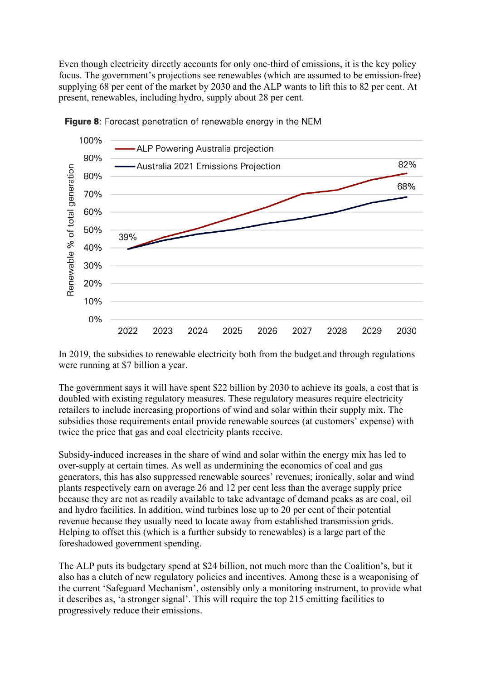Even though electricity directly accounts for only one-third of emissions, it is the key policy focus. The government's projections see renewables (which are assumed to be emission-free) supplying 68 per cent of the market by 2030 and the ALP wants to lift this to 82 per cent. At present, renewables, including hydro, supply about 28 per cent.





In 2019, the subsidies to renewable electricity both from the budget and through regulations were running at \$7 billion a year.

The government says it will have spent \$22 billion by 2030 to achieve its goals, a cost that is doubled with existing regulatory measures. These regulatory measures require electricity retailers to include increasing proportions of wind and solar within their supply mix. The subsidies those requirements entail provide renewable sources (at customers' expense) with twice the price that gas and coal electricity plants receive.

Subsidy-induced increases in the share of wind and solar within the energy mix has led to over-supply at certain times. As well as undermining the economics of coal and gas generators, this has also suppressed renewable sources' revenues; ironically, solar and wind plants respectively earn on average 26 and 12 per cent less than the average supply price because they are not as readily available to take advantage of demand peaks as are coal, oil and hydro facilities. In addition, wind turbines lose up to 20 per cent of their potential revenue because they usually need to locate away from established transmission grids. Helping to offset this (which is a further subsidy to renewables) is a large part of the foreshadowed government spending.

The ALP puts its budgetary spend at \$24 billion, not much more than the Coalition's, but it also has a clutch of new regulatory policies and incentives. Among these is a weaponising of the current 'Safeguard Mechanism', ostensibly only a monitoring instrument, to provide what it describes as, 'a stronger signal'. This will require the top 215 emitting facilities to progressively reduce their emissions.